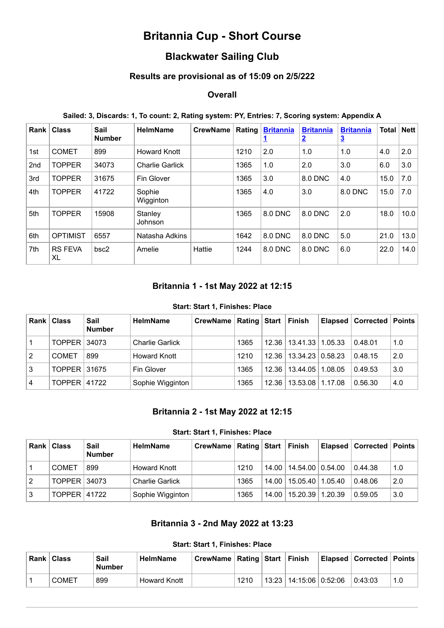# **Britannia Cup - Short Course**

## **Blackwater Sailing Club**

### **Results are provisional as of 15:09 on 2/5/222**

## **Overall**

#### **Sailed: 3, Discards: 1, To count: 2, Rating system: PY, Entries: 7, Scoring system: Appendix A**

| Rank            | <b>Class</b>         | Sail<br><b>Number</b> | <b>HelmName</b>        | <b>CrewName</b> | Rating | <b>Britannia</b> | <b>Britannia</b><br><u>2</u> | <b>Britannia</b><br>$\overline{3}$ | Total | Net  |
|-----------------|----------------------|-----------------------|------------------------|-----------------|--------|------------------|------------------------------|------------------------------------|-------|------|
| 1st             | <b>COMET</b>         | 899                   | <b>Howard Knott</b>    |                 | 1210   | 2.0              | 1.0                          | 1.0                                | 4.0   | 2.0  |
| 2 <sub>nd</sub> | <b>TOPPER</b>        | 34073                 | <b>Charlie Garlick</b> |                 | 1365   | 1.0              | 2.0                          | 3.0                                | 6.0   | 3.0  |
| 3rd             | <b>TOPPER</b>        | 31675                 | Fin Glover             |                 | 1365   | 3.0              | 8.0 DNC                      | 4.0                                | 15.0  | 7.0  |
| 4th             | <b>TOPPER</b>        | 41722                 | Sophie<br>Wigginton    |                 | 1365   | 4.0              | 3.0                          | 8.0 DNC                            | 15.0  | 7.0  |
| 5th             | <b>TOPPER</b>        | 15908                 | Stanley<br>Johnson     |                 | 1365   | 8.0 DNC          | 8.0 DNC                      | 2.0                                | 18.0  | 10.0 |
| 6th             | <b>OPTIMIST</b>      | 6557                  | Natasha Adkins         |                 | 1642   | 8.0 DNC          | 8.0 DNC                      | 5.0                                | 21.0  | 13.0 |
| 7th             | <b>RS FEVA</b><br>XL | bsc2                  | Amelie                 | Hattie          | 1244   | 8.0 DNC          | 8.0 DNC                      | 6.0                                | 22.0  | 14.0 |

## **Britannia 1 - 1st May 2022 at 12:15**

#### **Start: Start 1, Finishes: Place**

<span id="page-0-0"></span>

| Rank I         | <b>Class</b>   | Sail<br><b>Number</b> | <b>HelmName</b>        | CrewName   Rating   Start   Finish |      |                            |         | <b>Elapsed   Corrected   Points</b> |     |
|----------------|----------------|-----------------------|------------------------|------------------------------------|------|----------------------------|---------|-------------------------------------|-----|
| 1              | TOPPER   34073 |                       | <b>Charlie Garlick</b> |                                    | 1365 | 12.36   13.41.33   1.05.33 |         | 0.48.01                             | 1.0 |
| $\overline{2}$ | <b>COMET</b>   | 899                   | Howard Knott           |                                    | 1210 | 12.36   13.34.23   0.58.23 |         | 0.48.15                             | 2.0 |
| 3              | TOPPER 31675   |                       | Fin Glover             |                                    | 1365 | 12.36   13.44.05           | 1.08.05 | 0.49.53                             | 3.0 |
| $\overline{4}$ | TOPPER   41722 |                       | Sophie Wigginton       |                                    | 1365 | 12.36   13.53.08   1.17.08 |         | 0.56.30                             | 4.0 |

#### **Britannia 2 - 1st May 2022 at 12:15**

#### **Start: Start 1, Finishes: Place**

<span id="page-0-1"></span>

| Rank I | <b>Class</b>        | Sail<br><b>Number</b> | <b>HelmName</b>        | CrewName   Rating   Start   Finish |      |                            | Elapsed   Corrected   Points |     |
|--------|---------------------|-----------------------|------------------------|------------------------------------|------|----------------------------|------------------------------|-----|
|        | <b>COMET</b>        | 899                   | <b>Howard Knott</b>    |                                    | 1210 | 14.00   14.54.00   0.54.00 | 0.44.38                      | 1.0 |
| 2      | TOPPER 34073        |                       | <b>Charlie Garlick</b> |                                    | 1365 | 14.00   15.05.40   1.05.40 | 0.48.06                      | 2.0 |
| 3      | <b>TOPPER 41722</b> |                       | Sophie Wigginton       |                                    | 1365 | 14.00   15.20.39   1.20.39 | 0.59.05                      | 3.0 |

#### **Britannia 3 - 2nd May 2022 at 13:23**

#### **Start: Start 1, Finishes: Place**

<span id="page-0-2"></span>

| <b>Rank</b> I | <b>Class</b> | Sail<br>∍Number | <b>HelmName</b> | CrewName   Rating   Start |      | Finish                     | ∣ Elapsed ∣ Corrected ∣ Points ∣ |     |
|---------------|--------------|-----------------|-----------------|---------------------------|------|----------------------------|----------------------------------|-----|
|               | <b>COMET</b> | 899             | Howard Knott    |                           | 1210 | 13:23   14:15:06   0:52:06 | 0:43:03                          | 1.0 |